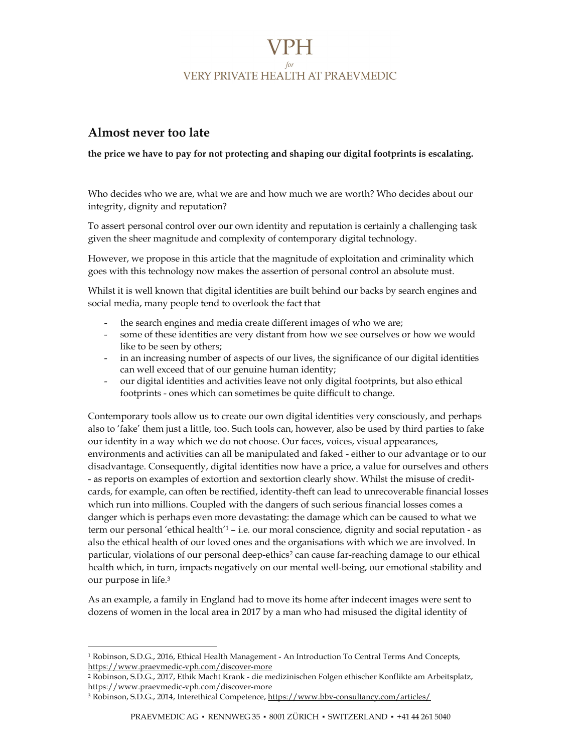## VPH. **VERY PRIVATE HEALTH AT PRAEVMEDIC**

## Almost never too late

## the price we have to pay for not protecting and shaping our digital footprints is escalating.

Who decides who we are, what we are and how much we are worth? Who decides about our integrity, dignity and reputation?

To assert personal control over our own identity and reputation is certainly a challenging task given the sheer magnitude and complexity of contemporary digital technology.

However, we propose in this article that the magnitude of exploitation and criminality which goes with this technology now makes the assertion of personal control an absolute must.

Whilst it is well known that digital identities are built behind our backs by search engines and social media, many people tend to overlook the fact that

- the search engines and media create different images of who we are;
- some of these identities are very distant from how we see ourselves or how we would like to be seen by others;
- in an increasing number of aspects of our lives, the significance of our digital identities can well exceed that of our genuine human identity;
- our digital identities and activities leave not only digital footprints, but also ethical footprints - ones which can sometimes be quite difficult to change.

Contemporary tools allow us to create our own digital identities very consciously, and perhaps also to 'fake' them just a little, too. Such tools can, however, also be used by third parties to fake our identity in a way which we do not choose. Our faces, voices, visual appearances, environments and activities can all be manipulated and faked - either to our advantage or to our disadvantage. Consequently, digital identities now have a price, a value for ourselves and others - as reports on examples of extortion and sextortion clearly show. Whilst the misuse of creditcards, for example, can often be rectified, identity-theft can lead to unrecoverable financial losses which run into millions. Coupled with the dangers of such serious financial losses comes a danger which is perhaps even more devastating: the damage which can be caused to what we term our personal 'ethical health'1 – i.e. our moral conscience, dignity and social reputation - as also the ethical health of our loved ones and the organisations with which we are involved. In particular, violations of our personal deep-ethics<sup>2</sup> can cause far-reaching damage to our ethical health which, in turn, impacts negatively on our mental well-being, our emotional stability and our purpose in life.<sup>3</sup>

As an example, a family in England had to move its home after indecent images were sent to dozens of women in the local area in 2017 by a man who had misused the digital identity of

<sup>1</sup> Robinson, S.D.G., 2016, Ethical Health Management - An Introduction To Central Terms And Concepts, https://www.praevmedic-vph.com/discover-more

<sup>2</sup> Robinson, S.D.G., 2017, Ethik Macht Krank - die medizinischen Folgen ethischer Konflikte am Arbeitsplatz, https://www.praevmedic-vph.com/discover-more

<sup>3</sup> Robinson, S.D.G., 2014, Interethical Competence, https://www.bbv-consultancy.com/articles/